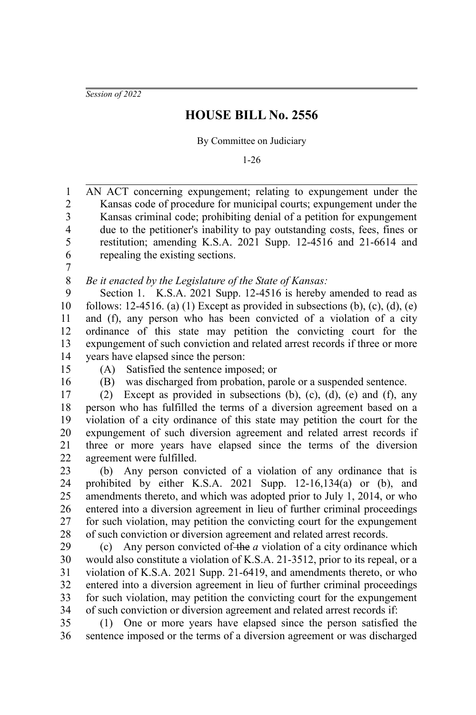*Session of 2022*

## **HOUSE BILL No. 2556**

By Committee on Judiciary

1-26

AN ACT concerning expungement; relating to expungement under the Kansas code of procedure for municipal courts; expungement under the Kansas criminal code; prohibiting denial of a petition for expungement due to the petitioner's inability to pay outstanding costs, fees, fines or restitution; amending K.S.A. 2021 Supp. 12-4516 and 21-6614 and repealing the existing sections. 1 2 3 4 5 6

7

*Be it enacted by the Legislature of the State of Kansas:* 8

Section 1. K.S.A. 2021 Supp. 12-4516 is hereby amended to read as follows: 12-4516. (a) (1) Except as provided in subsections (b), (c), (d), (e) and (f), any person who has been convicted of a violation of a city ordinance of this state may petition the convicting court for the expungement of such conviction and related arrest records if three or more years have elapsed since the person: 9 10 11 12 13 14

- 15
- 16

(A) Satisfied the sentence imposed; or

(B) was discharged from probation, parole or a suspended sentence.

(2) Except as provided in subsections (b), (c), (d), (e) and (f), any person who has fulfilled the terms of a diversion agreement based on a violation of a city ordinance of this state may petition the court for the expungement of such diversion agreement and related arrest records if three or more years have elapsed since the terms of the diversion agreement were fulfilled. 17 18 19 20 21 22

(b) Any person convicted of a violation of any ordinance that is prohibited by either K.S.A. 2021 Supp. 12-16,134(a) or (b), and amendments thereto, and which was adopted prior to July 1, 2014, or who entered into a diversion agreement in lieu of further criminal proceedings for such violation, may petition the convicting court for the expungement of such conviction or diversion agreement and related arrest records. 23 24 25 26 27 28

(c) Any person convicted of the *a* violation of a city ordinance which would also constitute a violation of K.S.A. 21-3512, prior to its repeal, or a violation of K.S.A. 2021 Supp. 21-6419, and amendments thereto, or who entered into a diversion agreement in lieu of further criminal proceedings for such violation, may petition the convicting court for the expungement of such conviction or diversion agreement and related arrest records if: 29 30 31 32 33 34

(1) One or more years have elapsed since the person satisfied the sentence imposed or the terms of a diversion agreement or was discharged 35 36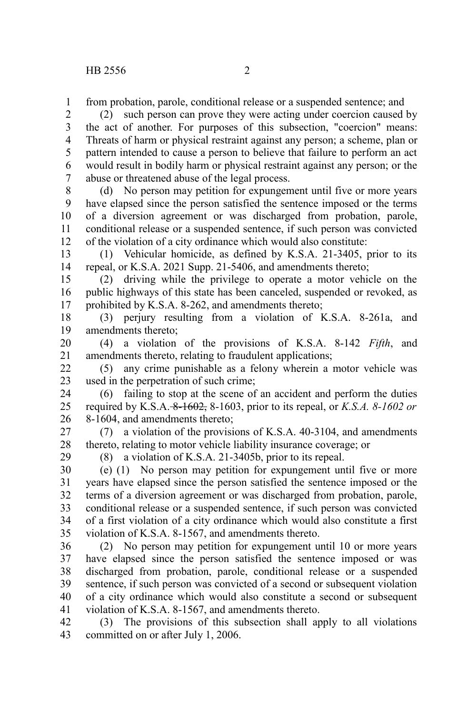from probation, parole, conditional release or a suspended sentence; and 1

(2) such person can prove they were acting under coercion caused by the act of another. For purposes of this subsection, "coercion" means: Threats of harm or physical restraint against any person; a scheme, plan or pattern intended to cause a person to believe that failure to perform an act would result in bodily harm or physical restraint against any person; or the abuse or threatened abuse of the legal process. 2 3 4 5 6 7

(d) No person may petition for expungement until five or more years have elapsed since the person satisfied the sentence imposed or the terms of a diversion agreement or was discharged from probation, parole, conditional release or a suspended sentence, if such person was convicted of the violation of a city ordinance which would also constitute: 8 9 10 11 12

(1) Vehicular homicide, as defined by K.S.A. 21-3405, prior to its repeal, or K.S.A. 2021 Supp. 21-5406, and amendments thereto; 13 14

(2) driving while the privilege to operate a motor vehicle on the public highways of this state has been canceled, suspended or revoked, as prohibited by K.S.A. 8-262, and amendments thereto; 15 16 17

(3) perjury resulting from a violation of K.S.A. 8-261a, and amendments thereto; 18 19

(4) a violation of the provisions of K.S.A. 8-142 *Fifth*, and amendments thereto, relating to fraudulent applications; 20 21

(5) any crime punishable as a felony wherein a motor vehicle was used in the perpetration of such crime; 22 23

(6) failing to stop at the scene of an accident and perform the duties required by K.S.A. 8-1602, 8-1603, prior to its repeal, or *K.S.A. 8-1602 or* 8-1604, and amendments thereto; 24 25 26

(7) a violation of the provisions of K.S.A. 40-3104, and amendments thereto, relating to motor vehicle liability insurance coverage; or 27 28

29

(8) a violation of K.S.A. 21-3405b, prior to its repeal.

(e) (1) No person may petition for expungement until five or more years have elapsed since the person satisfied the sentence imposed or the terms of a diversion agreement or was discharged from probation, parole, conditional release or a suspended sentence, if such person was convicted of a first violation of a city ordinance which would also constitute a first violation of K.S.A. 8-1567, and amendments thereto. 30 31 32 33 34 35

(2) No person may petition for expungement until 10 or more years have elapsed since the person satisfied the sentence imposed or was discharged from probation, parole, conditional release or a suspended sentence, if such person was convicted of a second or subsequent violation of a city ordinance which would also constitute a second or subsequent violation of K.S.A. 8-1567, and amendments thereto. 36 37 38 39 40 41

(3) The provisions of this subsection shall apply to all violations committed on or after July 1, 2006. 42 43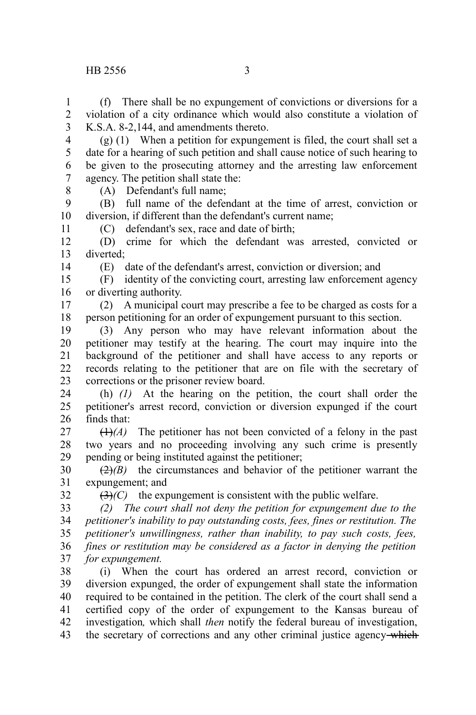## HB 2556 3

(f) There shall be no expungement of convictions or diversions for a violation of a city ordinance which would also constitute a violation of K.S.A. 8-2,144, and amendments thereto. 1 2 3

(g) (1) When a petition for expungement is filed, the court shall set a date for a hearing of such petition and shall cause notice of such hearing to be given to the prosecuting attorney and the arresting law enforcement agency. The petition shall state the: 4 5 6 7 8

(A) Defendant's full name;

(B) full name of the defendant at the time of arrest, conviction or diversion, if different than the defendant's current name; 9 10

(C) defendant's sex, race and date of birth;

(D) crime for which the defendant was arrested, convicted or diverted; 12 13

14

32

11

(E) date of the defendant's arrest, conviction or diversion; and

(F) identity of the convicting court, arresting law enforcement agency or diverting authority. 15 16

(2) A municipal court may prescribe a fee to be charged as costs for a person petitioning for an order of expungement pursuant to this section. 17 18

(3) Any person who may have relevant information about the petitioner may testify at the hearing. The court may inquire into the background of the petitioner and shall have access to any reports or records relating to the petitioner that are on file with the secretary of corrections or the prisoner review board. 19 20 21 22 23

(h) *(1)* At the hearing on the petition, the court shall order the petitioner's arrest record, conviction or diversion expunged if the court finds that: 24 25 26

 $(1)$ <sup>(A)</sup>) The petitioner has not been convicted of a felony in the past two years and no proceeding involving any such crime is presently pending or being instituted against the petitioner; 27 28 29

 $\left(\frac{2}{2}\right)$  the circumstances and behavior of the petitioner warrant the expungement; and 30 31

 $(3)(C)$  the expungement is consistent with the public welfare.

*(2) The court shall not deny the petition for expungement due to the petitioner's inability to pay outstanding costs, fees, fines or restitution. The petitioner's unwillingness, rather than inability, to pay such costs, fees, fines or restitution may be considered as a factor in denying the petition for expungement.* 33 34 35 36 37

(i) When the court has ordered an arrest record, conviction or diversion expunged, the order of expungement shall state the information required to be contained in the petition. The clerk of the court shall send a certified copy of the order of expungement to the Kansas bureau of investigation*,* which shall *then* notify the federal bureau of investigation, the secretary of corrections and any other criminal justice agency-which 38 39 40 41 42 43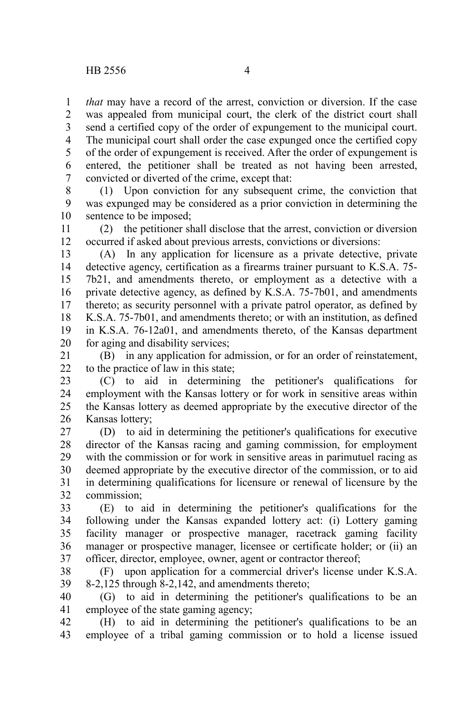*that* may have a record of the arrest, conviction or diversion. If the case was appealed from municipal court, the clerk of the district court shall send a certified copy of the order of expungement to the municipal court. The municipal court shall order the case expunged once the certified copy of the order of expungement is received. After the order of expungement is entered, the petitioner shall be treated as not having been arrested, convicted or diverted of the crime, except that: 1 2 3 4 5 6 7

(1) Upon conviction for any subsequent crime, the conviction that was expunged may be considered as a prior conviction in determining the sentence to be imposed; 8 9 10

(2) the petitioner shall disclose that the arrest, conviction or diversion occurred if asked about previous arrests, convictions or diversions: 11 12

(A) In any application for licensure as a private detective, private detective agency, certification as a firearms trainer pursuant to K.S.A. 75- 7b21, and amendments thereto, or employment as a detective with a private detective agency, as defined by K.S.A. 75-7b01, and amendments thereto; as security personnel with a private patrol operator, as defined by K.S.A. 75-7b01, and amendments thereto; or with an institution, as defined in K.S.A. 76-12a01, and amendments thereto, of the Kansas department for aging and disability services; 13 14 15 16 17 18 19 20

(B) in any application for admission, or for an order of reinstatement, to the practice of law in this state; 21 22

(C) to aid in determining the petitioner's qualifications for employment with the Kansas lottery or for work in sensitive areas within the Kansas lottery as deemed appropriate by the executive director of the Kansas lottery; 23 24 25 26

(D) to aid in determining the petitioner's qualifications for executive director of the Kansas racing and gaming commission, for employment with the commission or for work in sensitive areas in parimutuel racing as deemed appropriate by the executive director of the commission, or to aid in determining qualifications for licensure or renewal of licensure by the commission; 27 28 29 30 31 32

(E) to aid in determining the petitioner's qualifications for the following under the Kansas expanded lottery act: (i) Lottery gaming facility manager or prospective manager, racetrack gaming facility manager or prospective manager, licensee or certificate holder; or (ii) an officer, director, employee, owner, agent or contractor thereof; 33 34 35 36 37

(F) upon application for a commercial driver's license under K.S.A. 8-2,125 through 8-2,142, and amendments thereto; 38 39

(G) to aid in determining the petitioner's qualifications to be an employee of the state gaming agency; 40 41

(H) to aid in determining the petitioner's qualifications to be an employee of a tribal gaming commission or to hold a license issued 42 43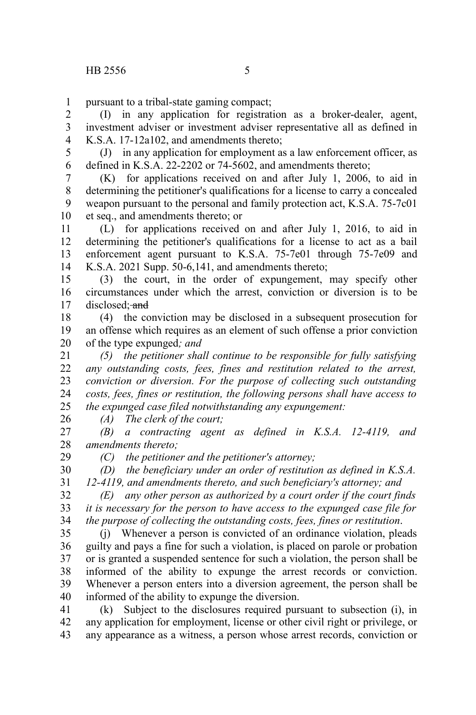pursuant to a tribal-state gaming compact; 1

(I) in any application for registration as a broker-dealer, agent, investment adviser or investment adviser representative all as defined in K.S.A. 17-12a102, and amendments thereto; 2 3 4

(J) in any application for employment as a law enforcement officer, as defined in K.S.A. 22-2202 or 74-5602, and amendments thereto; 5 6

(K) for applications received on and after July 1, 2006, to aid in determining the petitioner's qualifications for a license to carry a concealed weapon pursuant to the personal and family protection act, K.S.A. 75-7c01 et seq., and amendments thereto; or 7 8 9 10

(L) for applications received on and after July 1, 2016, to aid in determining the petitioner's qualifications for a license to act as a bail enforcement agent pursuant to K.S.A. 75-7e01 through 75-7e09 and K.S.A. 2021 Supp. 50-6,141, and amendments thereto; 11 12 13 14

(3) the court, in the order of expungement, may specify other circumstances under which the arrest, conviction or diversion is to be disclosed; and 15 16 17

(4) the conviction may be disclosed in a subsequent prosecution for an offense which requires as an element of such offense a prior conviction of the type expunged*; and* 18 19 20

*(5) the petitioner shall continue to be responsible for fully satisfying any outstanding costs, fees, fines and restitution related to the arrest, conviction or diversion. For the purpose of collecting such outstanding costs, fees, fines or restitution, the following persons shall have access to the expunged case filed notwithstanding any expungement:* 21 22 23 24 25

*(A) The clerk of the court;*

26

29

*(B) a contracting agent as defined in K.S.A. 12-4119, and amendments thereto;* 27 28

*(C) the petitioner and the petitioner's attorney;*

*(D) the beneficiary under an order of restitution as defined in K.S.A.* 30

*12-4119, and amendments thereto, and such beneficiary's attorney; and* 31

*(E) any other person as authorized by a court order if the court finds it is necessary for the person to have access to the expunged case file for the purpose of collecting the outstanding costs, fees, fines or restitution*. 32 33 34

(j) Whenever a person is convicted of an ordinance violation, pleads guilty and pays a fine for such a violation, is placed on parole or probation or is granted a suspended sentence for such a violation, the person shall be informed of the ability to expunge the arrest records or conviction. Whenever a person enters into a diversion agreement, the person shall be informed of the ability to expunge the diversion. 35 36 37 38 39 40

(k) Subject to the disclosures required pursuant to subsection (i), in any application for employment, license or other civil right or privilege, or any appearance as a witness, a person whose arrest records, conviction or 41 42 43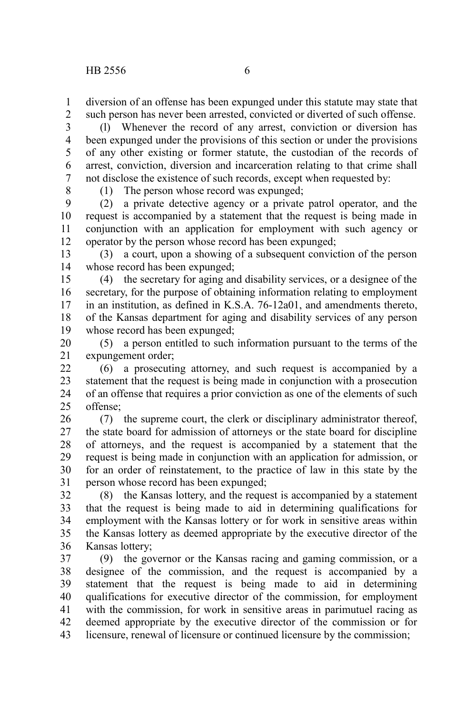diversion of an offense has been expunged under this statute may state that such person has never been arrested, convicted or diverted of such offense. 1 2

(l) Whenever the record of any arrest, conviction or diversion has been expunged under the provisions of this section or under the provisions of any other existing or former statute, the custodian of the records of arrest, conviction, diversion and incarceration relating to that crime shall not disclose the existence of such records, except when requested by: 3 4 5 6 7

8

(1) The person whose record was expunged;

(2) a private detective agency or a private patrol operator, and the request is accompanied by a statement that the request is being made in conjunction with an application for employment with such agency or operator by the person whose record has been expunged; 9 10 11 12

(3) a court, upon a showing of a subsequent conviction of the person whose record has been expunged; 13 14

(4) the secretary for aging and disability services, or a designee of the secretary, for the purpose of obtaining information relating to employment in an institution, as defined in K.S.A. 76-12a01, and amendments thereto, of the Kansas department for aging and disability services of any person whose record has been expunged; 15 16 17 18 19

(5) a person entitled to such information pursuant to the terms of the expungement order; 20 21

(6) a prosecuting attorney, and such request is accompanied by a statement that the request is being made in conjunction with a prosecution of an offense that requires a prior conviction as one of the elements of such offense;  $22$ 23 24  $25$ 

(7) the supreme court, the clerk or disciplinary administrator thereof, the state board for admission of attorneys or the state board for discipline of attorneys, and the request is accompanied by a statement that the request is being made in conjunction with an application for admission, or for an order of reinstatement, to the practice of law in this state by the person whose record has been expunged; 26 27 28 29 30 31

(8) the Kansas lottery, and the request is accompanied by a statement that the request is being made to aid in determining qualifications for employment with the Kansas lottery or for work in sensitive areas within the Kansas lottery as deemed appropriate by the executive director of the Kansas lottery; 32 33 34 35 36

(9) the governor or the Kansas racing and gaming commission, or a designee of the commission, and the request is accompanied by a statement that the request is being made to aid in determining qualifications for executive director of the commission, for employment with the commission, for work in sensitive areas in parimutuel racing as deemed appropriate by the executive director of the commission or for licensure, renewal of licensure or continued licensure by the commission; 37 38 39 40 41 42 43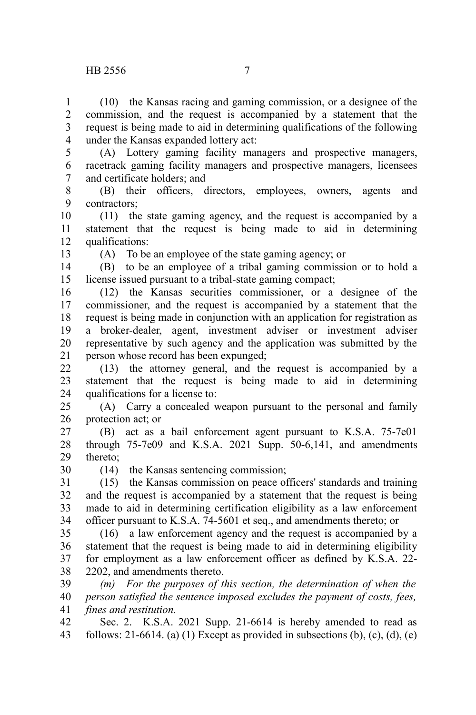## HB 2556 7

(10) the Kansas racing and gaming commission, or a designee of the commission, and the request is accompanied by a statement that the request is being made to aid in determining qualifications of the following under the Kansas expanded lottery act: 1 2 3 4

(A) Lottery gaming facility managers and prospective managers, racetrack gaming facility managers and prospective managers, licensees and certificate holders; and 5 6 7

(B) their officers, directors, employees, owners, agents and contractors; 8 9

(11) the state gaming agency, and the request is accompanied by a statement that the request is being made to aid in determining qualifications: 10 11 12

13

(A) To be an employee of the state gaming agency; or

(B) to be an employee of a tribal gaming commission or to hold a license issued pursuant to a tribal-state gaming compact; 14 15

(12) the Kansas securities commissioner, or a designee of the commissioner, and the request is accompanied by a statement that the request is being made in conjunction with an application for registration as a broker-dealer, agent, investment adviser or investment adviser representative by such agency and the application was submitted by the person whose record has been expunged; 16 17 18 19 20 21

(13) the attorney general, and the request is accompanied by a statement that the request is being made to aid in determining qualifications for a license to: 22 23 24

(A) Carry a concealed weapon pursuant to the personal and family protection act; or 25 26

(B) act as a bail enforcement agent pursuant to K.S.A. 75-7e01 through 75-7e09 and K.S.A. 2021 Supp. 50-6,141, and amendments thereto; 27 28 29

30

(14) the Kansas sentencing commission;

(15) the Kansas commission on peace officers' standards and training and the request is accompanied by a statement that the request is being made to aid in determining certification eligibility as a law enforcement officer pursuant to K.S.A. 74-5601 et seq., and amendments thereto; or 31 32 33 34

(16) a law enforcement agency and the request is accompanied by a statement that the request is being made to aid in determining eligibility for employment as a law enforcement officer as defined by K.S.A. 22- 2202, and amendments thereto. 35 36 37 38

*(m) For the purposes of this section, the determination of when the person satisfied the sentence imposed excludes the payment of costs, fees, fines and restitution.* 39 40 41

Sec. 2. K.S.A. 2021 Supp. 21-6614 is hereby amended to read as follows: 21-6614. (a) (1) Except as provided in subsections (b), (c), (d), (e) 42 43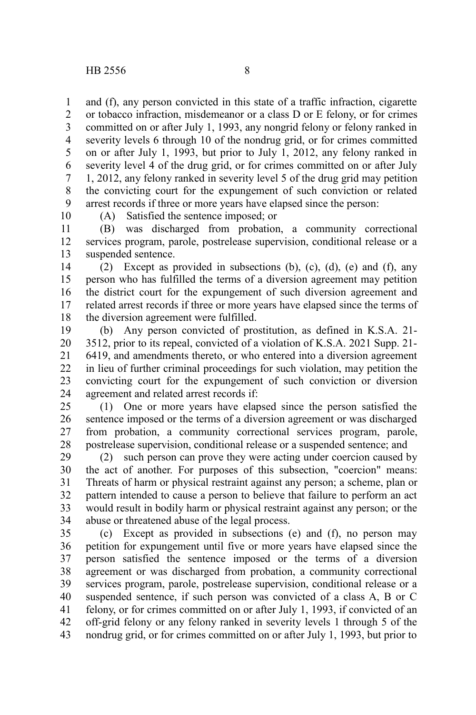and (f), any person convicted in this state of a traffic infraction, cigarette or tobacco infraction, misdemeanor or a class D or E felony, or for crimes committed on or after July 1, 1993, any nongrid felony or felony ranked in severity levels 6 through 10 of the nondrug grid, or for crimes committed on or after July 1, 1993, but prior to July 1, 2012, any felony ranked in severity level 4 of the drug grid, or for crimes committed on or after July 1, 2012, any felony ranked in severity level 5 of the drug grid may petition the convicting court for the expungement of such conviction or related arrest records if three or more years have elapsed since the person: 1 2 3 4 5 6 7 8 9

10

(A) Satisfied the sentence imposed; or

(B) was discharged from probation, a community correctional services program, parole, postrelease supervision, conditional release or a suspended sentence. 11 12 13

(2) Except as provided in subsections (b), (c), (d), (e) and (f), any person who has fulfilled the terms of a diversion agreement may petition the district court for the expungement of such diversion agreement and related arrest records if three or more years have elapsed since the terms of the diversion agreement were fulfilled. 14 15 16 17 18

(b) Any person convicted of prostitution, as defined in K.S.A. 21- 3512, prior to its repeal, convicted of a violation of K.S.A. 2021 Supp. 21- 6419, and amendments thereto, or who entered into a diversion agreement in lieu of further criminal proceedings for such violation, may petition the convicting court for the expungement of such conviction or diversion agreement and related arrest records if: 19 20 21 22 23 24

(1) One or more years have elapsed since the person satisfied the sentence imposed or the terms of a diversion agreement or was discharged from probation, a community correctional services program, parole, postrelease supervision, conditional release or a suspended sentence; and 25 26 27 28

(2) such person can prove they were acting under coercion caused by the act of another. For purposes of this subsection, "coercion" means: Threats of harm or physical restraint against any person; a scheme, plan or pattern intended to cause a person to believe that failure to perform an act would result in bodily harm or physical restraint against any person; or the abuse or threatened abuse of the legal process. 29 30 31 32 33 34

(c) Except as provided in subsections (e) and (f), no person may petition for expungement until five or more years have elapsed since the person satisfied the sentence imposed or the terms of a diversion agreement or was discharged from probation, a community correctional services program, parole, postrelease supervision, conditional release or a suspended sentence, if such person was convicted of a class A, B or C felony, or for crimes committed on or after July 1, 1993, if convicted of an off-grid felony or any felony ranked in severity levels 1 through 5 of the nondrug grid, or for crimes committed on or after July 1, 1993, but prior to 35 36 37 38 39 40 41 42 43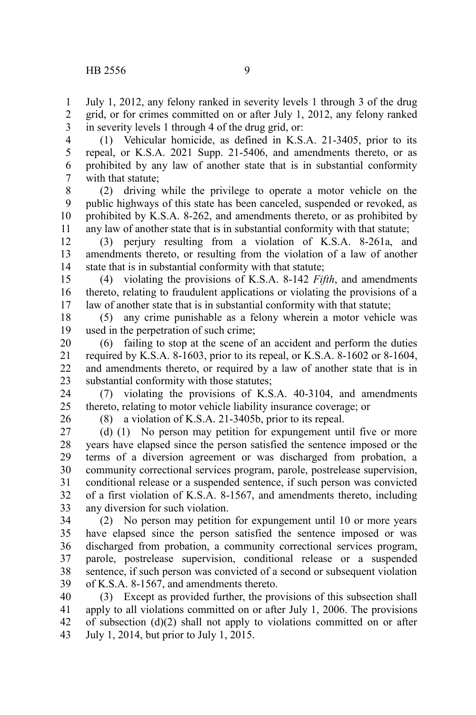July 1, 2012, any felony ranked in severity levels 1 through 3 of the drug grid, or for crimes committed on or after July 1, 2012, any felony ranked in severity levels 1 through 4 of the drug grid, or: 1 2 3

(1) Vehicular homicide, as defined in K.S.A. 21-3405, prior to its repeal, or K.S.A. 2021 Supp. 21-5406, and amendments thereto, or as prohibited by any law of another state that is in substantial conformity with that statute; 4 5 6 7

(2) driving while the privilege to operate a motor vehicle on the public highways of this state has been canceled, suspended or revoked, as prohibited by K.S.A. 8-262, and amendments thereto, or as prohibited by any law of another state that is in substantial conformity with that statute; 8 9 10 11

(3) perjury resulting from a violation of K.S.A. 8-261a, and amendments thereto, or resulting from the violation of a law of another state that is in substantial conformity with that statute; 12 13 14

(4) violating the provisions of K.S.A. 8-142 *Fifth*, and amendments thereto, relating to fraudulent applications or violating the provisions of a law of another state that is in substantial conformity with that statute; 15 16 17

(5) any crime punishable as a felony wherein a motor vehicle was used in the perpetration of such crime; 18 19

(6) failing to stop at the scene of an accident and perform the duties required by K.S.A. 8-1603, prior to its repeal, or K.S.A. 8-1602 or 8-1604, and amendments thereto, or required by a law of another state that is in substantial conformity with those statutes; 20 21 22 23

(7) violating the provisions of K.S.A. 40-3104, and amendments thereto, relating to motor vehicle liability insurance coverage; or 24 25

26

(8) a violation of K.S.A. 21-3405b, prior to its repeal.

(d) (1) No person may petition for expungement until five or more years have elapsed since the person satisfied the sentence imposed or the terms of a diversion agreement or was discharged from probation, a community correctional services program, parole, postrelease supervision, conditional release or a suspended sentence, if such person was convicted of a first violation of K.S.A. 8-1567, and amendments thereto, including any diversion for such violation. 27 28 29 30 31 32 33

(2) No person may petition for expungement until 10 or more years have elapsed since the person satisfied the sentence imposed or was discharged from probation, a community correctional services program, parole, postrelease supervision, conditional release or a suspended sentence, if such person was convicted of a second or subsequent violation of K.S.A. 8-1567, and amendments thereto. 34 35 36 37 38 39

(3) Except as provided further, the provisions of this subsection shall apply to all violations committed on or after July 1, 2006. The provisions of subsection (d)(2) shall not apply to violations committed on or after July 1, 2014, but prior to July 1, 2015. 40 41 42 43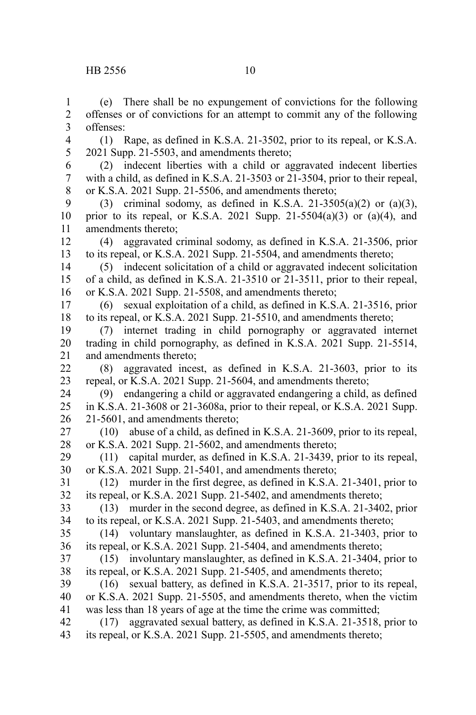(e) There shall be no expungement of convictions for the following offenses or of convictions for an attempt to commit any of the following offenses: (1) Rape, as defined in K.S.A. 21-3502, prior to its repeal, or K.S.A. 2021 Supp. 21-5503, and amendments thereto; (2) indecent liberties with a child or aggravated indecent liberties with a child, as defined in K.S.A. 21-3503 or 21-3504, prior to their repeal, or K.S.A. 2021 Supp. 21-5506, and amendments thereto; (3) criminal sodomy, as defined in K.S.A. 21-3505(a)(2) or (a)(3), prior to its repeal, or K.S.A. 2021 Supp. 21-5504(a)(3) or (a)(4), and amendments thereto; (4) aggravated criminal sodomy, as defined in K.S.A. 21-3506, prior to its repeal, or K.S.A. 2021 Supp. 21-5504, and amendments thereto; (5) indecent solicitation of a child or aggravated indecent solicitation of a child, as defined in K.S.A. 21-3510 or 21-3511, prior to their repeal, or K.S.A. 2021 Supp. 21-5508, and amendments thereto; (6) sexual exploitation of a child, as defined in K.S.A. 21-3516, prior to its repeal, or K.S.A. 2021 Supp. 21-5510, and amendments thereto; (7) internet trading in child pornography or aggravated internet trading in child pornography, as defined in K.S.A. 2021 Supp. 21-5514, and amendments thereto; (8) aggravated incest, as defined in K.S.A. 21-3603, prior to its repeal, or K.S.A. 2021 Supp. 21-5604, and amendments thereto; (9) endangering a child or aggravated endangering a child, as defined in K.S.A. 21-3608 or 21-3608a, prior to their repeal, or K.S.A. 2021 Supp. 21-5601, and amendments thereto; (10) abuse of a child, as defined in K.S.A. 21-3609, prior to its repeal, or K.S.A. 2021 Supp. 21-5602, and amendments thereto; (11) capital murder, as defined in K.S.A. 21-3439, prior to its repeal, or K.S.A. 2021 Supp. 21-5401, and amendments thereto; (12) murder in the first degree, as defined in K.S.A. 21-3401, prior to its repeal, or K.S.A. 2021 Supp. 21-5402, and amendments thereto; (13) murder in the second degree, as defined in K.S.A. 21-3402, prior to its repeal, or K.S.A. 2021 Supp. 21-5403, and amendments thereto; (14) voluntary manslaughter, as defined in K.S.A. 21-3403, prior to its repeal, or K.S.A. 2021 Supp. 21-5404, and amendments thereto; (15) involuntary manslaughter, as defined in K.S.A. 21-3404, prior to its repeal, or K.S.A. 2021 Supp. 21-5405, and amendments thereto; (16) sexual battery, as defined in K.S.A. 21-3517, prior to its repeal, or K.S.A. 2021 Supp. 21-5505, and amendments thereto, when the victim was less than 18 years of age at the time the crime was committed; (17) aggravated sexual battery, as defined in K.S.A. 21-3518, prior to its repeal, or K.S.A. 2021 Supp. 21-5505, and amendments thereto; 1 2 3 4 5 6 7 8 9 10 11 12 13 14 15 16 17 18 19 20 21 22 23 24 25 26 27 28 29 30 31 32 33 34 35 36 37 38 39 40 41 42 43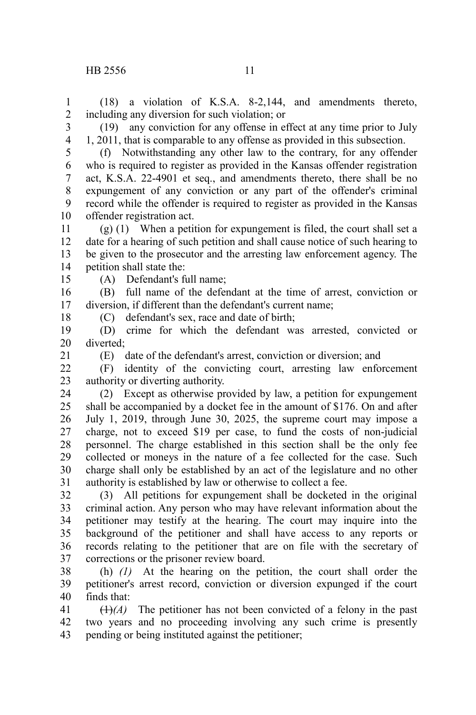(18) a violation of K.S.A. 8-2,144, and amendments thereto, including any diversion for such violation; or 1 2

3

4

1, 2011, that is comparable to any offense as provided in this subsection. (f) Notwithstanding any other law to the contrary, for any offender who is required to register as provided in the Kansas offender registration act, K.S.A. 22-4901 et seq., and amendments thereto, there shall be no expungement of any conviction or any part of the offender's criminal record while the offender is required to register as provided in the Kansas offender registration act. 5 6 7 8 9 10

(g) (1) When a petition for expungement is filed, the court shall set a date for a hearing of such petition and shall cause notice of such hearing to be given to the prosecutor and the arresting law enforcement agency. The petition shall state the: 11 12 13 14

15

(A) Defendant's full name;

(B) full name of the defendant at the time of arrest, conviction or diversion, if different than the defendant's current name; 16 17

18

21

(C) defendant's sex, race and date of birth;

(D) crime for which the defendant was arrested, convicted or diverted; 19 20

(E) date of the defendant's arrest, conviction or diversion; and

(F) identity of the convicting court, arresting law enforcement authority or diverting authority.  $22$ 23

(2) Except as otherwise provided by law, a petition for expungement shall be accompanied by a docket fee in the amount of \$176. On and after July 1, 2019, through June 30, 2025, the supreme court may impose a charge, not to exceed \$19 per case, to fund the costs of non-judicial personnel. The charge established in this section shall be the only fee collected or moneys in the nature of a fee collected for the case. Such charge shall only be established by an act of the legislature and no other authority is established by law or otherwise to collect a fee. 24 25 26 27 28 29 30 31

(3) All petitions for expungement shall be docketed in the original criminal action. Any person who may have relevant information about the petitioner may testify at the hearing. The court may inquire into the background of the petitioner and shall have access to any reports or records relating to the petitioner that are on file with the secretary of corrections or the prisoner review board. 32 33 34 35 36 37

(h) *(1)* At the hearing on the petition, the court shall order the petitioner's arrest record, conviction or diversion expunged if the court finds that: 38 39 40

 $(1)$ <sup>(A)</sup>) The petitioner has not been convicted of a felony in the past two years and no proceeding involving any such crime is presently pending or being instituted against the petitioner; 41 42 43

(19) any conviction for any offense in effect at any time prior to July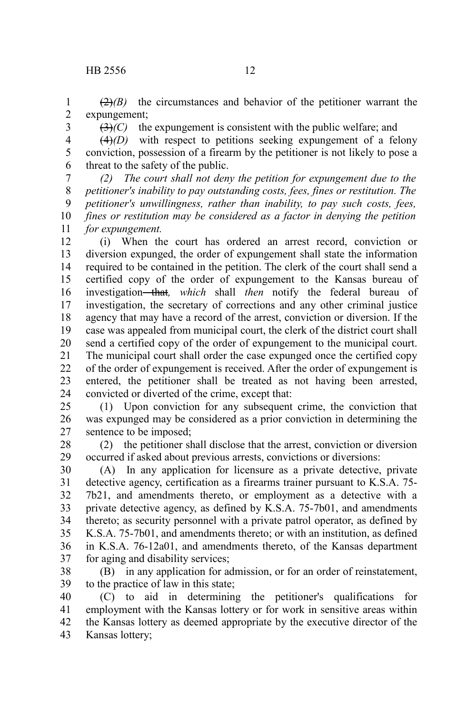3

 $(2)$ *(B)* the circumstances and behavior of the petitioner warrant the expungement; 1 2

 $(3)$ *(C)* the expungement is consistent with the public welfare; and

(4)*(D)* with respect to petitions seeking expungement of a felony conviction, possession of a firearm by the petitioner is not likely to pose a threat to the safety of the public. 4 5 6

*(2) The court shall not deny the petition for expungement due to the petitioner's inability to pay outstanding costs, fees, fines or restitution. The petitioner's unwillingness, rather than inability, to pay such costs, fees, fines or restitution may be considered as a factor in denying the petition for expungement.* 7 8 9 10 11

(i) When the court has ordered an arrest record, conviction or diversion expunged, the order of expungement shall state the information required to be contained in the petition. The clerk of the court shall send a certified copy of the order of expungement to the Kansas bureau of investigation that*, which* shall *then* notify the federal bureau of investigation, the secretary of corrections and any other criminal justice agency that may have a record of the arrest, conviction or diversion. If the case was appealed from municipal court, the clerk of the district court shall send a certified copy of the order of expungement to the municipal court. The municipal court shall order the case expunged once the certified copy of the order of expungement is received. After the order of expungement is entered, the petitioner shall be treated as not having been arrested, convicted or diverted of the crime, except that: 12 13 14 15 16 17 18 19 20 21 22 23 24

(1) Upon conviction for any subsequent crime, the conviction that was expunged may be considered as a prior conviction in determining the sentence to be imposed; 25 26 27

(2) the petitioner shall disclose that the arrest, conviction or diversion occurred if asked about previous arrests, convictions or diversions: 28 29

(A) In any application for licensure as a private detective, private detective agency, certification as a firearms trainer pursuant to K.S.A. 75- 7b21, and amendments thereto, or employment as a detective with a private detective agency, as defined by K.S.A. 75-7b01, and amendments thereto; as security personnel with a private patrol operator, as defined by K.S.A. 75-7b01, and amendments thereto; or with an institution, as defined in K.S.A. 76-12a01, and amendments thereto, of the Kansas department for aging and disability services; 30 31 32 33 34 35 36 37

(B) in any application for admission, or for an order of reinstatement, to the practice of law in this state; 38 39

(C) to aid in determining the petitioner's qualifications for employment with the Kansas lottery or for work in sensitive areas within the Kansas lottery as deemed appropriate by the executive director of the Kansas lottery; 40 41 42 43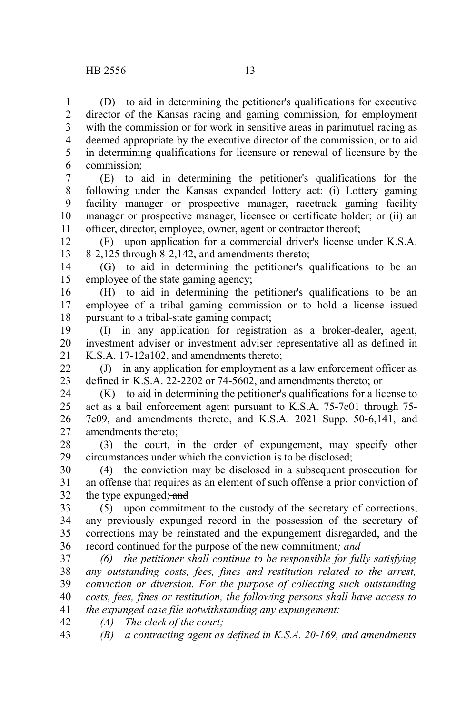(D) to aid in determining the petitioner's qualifications for executive director of the Kansas racing and gaming commission, for employment with the commission or for work in sensitive areas in parimutuel racing as deemed appropriate by the executive director of the commission, or to aid in determining qualifications for licensure or renewal of licensure by the commission; 1 2 3 4 5 6

(E) to aid in determining the petitioner's qualifications for the following under the Kansas expanded lottery act: (i) Lottery gaming facility manager or prospective manager, racetrack gaming facility manager or prospective manager, licensee or certificate holder; or (ii) an officer, director, employee, owner, agent or contractor thereof; 7 8 9 10 11

(F) upon application for a commercial driver's license under K.S.A. 8-2,125 through 8-2,142, and amendments thereto; 12 13

(G) to aid in determining the petitioner's qualifications to be an employee of the state gaming agency; 14 15

(H) to aid in determining the petitioner's qualifications to be an employee of a tribal gaming commission or to hold a license issued pursuant to a tribal-state gaming compact; 16 17 18

(I) in any application for registration as a broker-dealer, agent, investment adviser or investment adviser representative all as defined in K.S.A. 17-12a102, and amendments thereto; 19 20 21

(J) in any application for employment as a law enforcement officer as defined in K.S.A. 22-2202 or 74-5602, and amendments thereto; or 22 23

(K) to aid in determining the petitioner's qualifications for a license to act as a bail enforcement agent pursuant to K.S.A. 75-7e01 through 75- 7e09, and amendments thereto, and K.S.A. 2021 Supp. 50-6,141, and amendments thereto; 24 25 26 27

(3) the court, in the order of expungement, may specify other circumstances under which the conviction is to be disclosed; 28 29

(4) the conviction may be disclosed in a subsequent prosecution for an offense that requires as an element of such offense a prior conviction of the type expunged; and 30 31 32

(5) upon commitment to the custody of the secretary of corrections, any previously expunged record in the possession of the secretary of corrections may be reinstated and the expungement disregarded, and the record continued for the purpose of the new commitment*; and* 33 34 35 36

*(6) the petitioner shall continue to be responsible for fully satisfying any outstanding costs, fees, fines and restitution related to the arrest, conviction or diversion. For the purpose of collecting such outstanding costs, fees, fines or restitution, the following persons shall have access to the expunged case file notwithstanding any expungement:* 37 38 39 40 41

*(A) The clerk of the court;* 42

*(B) a contracting agent as defined in K.S.A. 20-169, and amendments* 43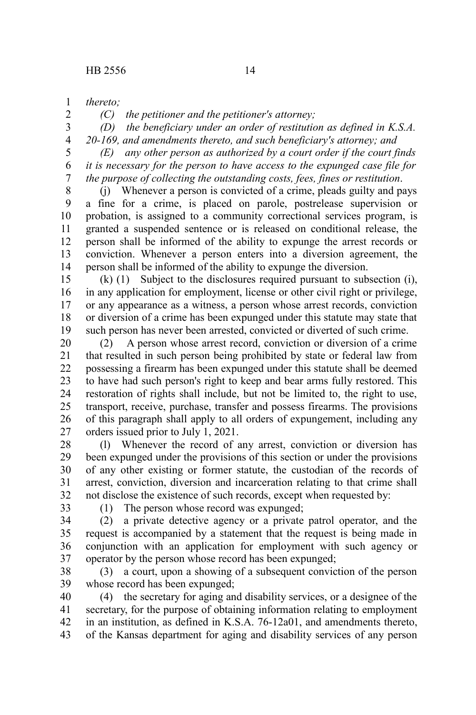*thereto;* 1

2 3 4 *(C) the petitioner and the petitioner's attorney;*

*(D) the beneficiary under an order of restitution as defined in K.S.A.*

*20-169, and amendments thereto, and such beneficiary's attorney; and*

*(E) any other person as authorized by a court order if the court finds it is necessary for the person to have access to the expunged case file for the purpose of collecting the outstanding costs, fees, fines or restitution*. 5 6 7

(j) Whenever a person is convicted of a crime, pleads guilty and pays a fine for a crime, is placed on parole, postrelease supervision or probation, is assigned to a community correctional services program, is granted a suspended sentence or is released on conditional release, the person shall be informed of the ability to expunge the arrest records or conviction. Whenever a person enters into a diversion agreement, the person shall be informed of the ability to expunge the diversion. 8 9 10 11 12 13 14

(k) (1) Subject to the disclosures required pursuant to subsection (i), in any application for employment, license or other civil right or privilege, or any appearance as a witness, a person whose arrest records, conviction or diversion of a crime has been expunged under this statute may state that such person has never been arrested, convicted or diverted of such crime. 15 16 17 18 19

(2) A person whose arrest record, conviction or diversion of a crime that resulted in such person being prohibited by state or federal law from possessing a firearm has been expunged under this statute shall be deemed to have had such person's right to keep and bear arms fully restored. This restoration of rights shall include, but not be limited to, the right to use, transport, receive, purchase, transfer and possess firearms. The provisions of this paragraph shall apply to all orders of expungement, including any orders issued prior to July 1, 2021. 20 21 22 23 24 25 26 27

(l) Whenever the record of any arrest, conviction or diversion has been expunged under the provisions of this section or under the provisions of any other existing or former statute, the custodian of the records of arrest, conviction, diversion and incarceration relating to that crime shall not disclose the existence of such records, except when requested by: 28 29 30 31 32

33

(1) The person whose record was expunged;

(2) a private detective agency or a private patrol operator, and the request is accompanied by a statement that the request is being made in conjunction with an application for employment with such agency or operator by the person whose record has been expunged; 34 35 36 37

(3) a court, upon a showing of a subsequent conviction of the person whose record has been expunged; 38 39

(4) the secretary for aging and disability services, or a designee of the secretary, for the purpose of obtaining information relating to employment in an institution, as defined in K.S.A. 76-12a01, and amendments thereto, of the Kansas department for aging and disability services of any person 40 41 42 43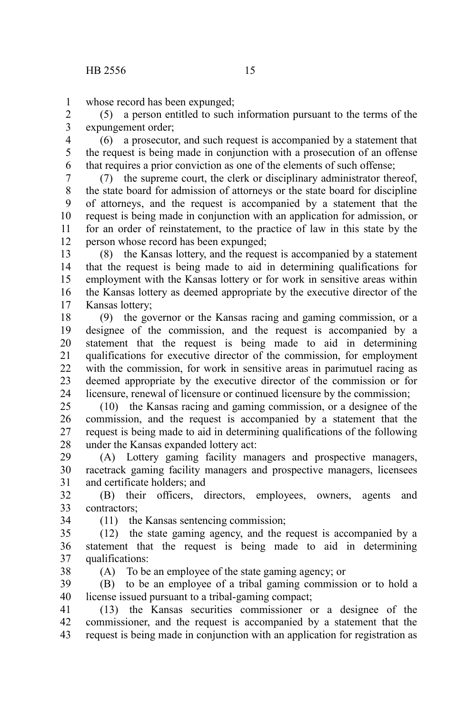whose record has been expunged; 1

(5) a person entitled to such information pursuant to the terms of the expungement order; 2 3

(6) a prosecutor, and such request is accompanied by a statement that the request is being made in conjunction with a prosecution of an offense that requires a prior conviction as one of the elements of such offense; 4 5 6

(7) the supreme court, the clerk or disciplinary administrator thereof, the state board for admission of attorneys or the state board for discipline of attorneys, and the request is accompanied by a statement that the request is being made in conjunction with an application for admission, or for an order of reinstatement, to the practice of law in this state by the person whose record has been expunged; 7 8 9 10 11 12

(8) the Kansas lottery, and the request is accompanied by a statement that the request is being made to aid in determining qualifications for employment with the Kansas lottery or for work in sensitive areas within the Kansas lottery as deemed appropriate by the executive director of the Kansas lottery; 13 14 15 16 17

(9) the governor or the Kansas racing and gaming commission, or a designee of the commission, and the request is accompanied by a statement that the request is being made to aid in determining qualifications for executive director of the commission, for employment with the commission, for work in sensitive areas in parimutuel racing as deemed appropriate by the executive director of the commission or for licensure, renewal of licensure or continued licensure by the commission; 18 19 20 21 22 23 24

(10) the Kansas racing and gaming commission, or a designee of the commission, and the request is accompanied by a statement that the request is being made to aid in determining qualifications of the following under the Kansas expanded lottery act: 25 26 27 28

(A) Lottery gaming facility managers and prospective managers, racetrack gaming facility managers and prospective managers, licensees and certificate holders; and 29 30 31

(B) their officers, directors, employees, owners, agents and contractors; 32 33

34

(11) the Kansas sentencing commission;

(12) the state gaming agency, and the request is accompanied by a statement that the request is being made to aid in determining qualifications: 35 36 37

38

(A) To be an employee of the state gaming agency; or

(B) to be an employee of a tribal gaming commission or to hold a license issued pursuant to a tribal-gaming compact; 39 40

(13) the Kansas securities commissioner or a designee of the commissioner, and the request is accompanied by a statement that the request is being made in conjunction with an application for registration as 41 42 43